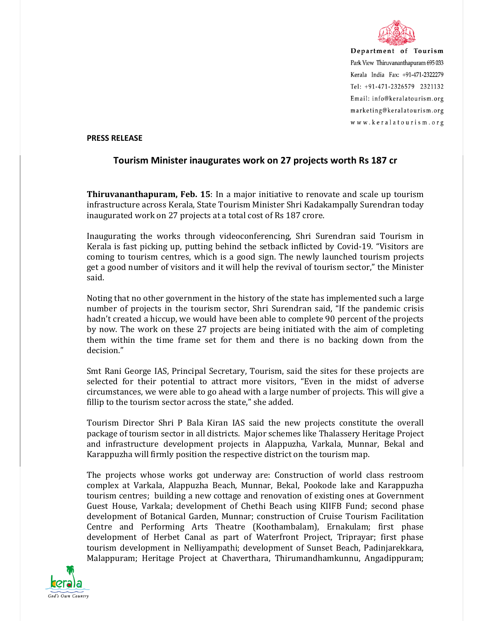

Department of Tourism Park View Thiruvananthapuram 695 033 Kerala India Fax: +91-471-2322279 Tel: +91-471-2326579 2321132 Email: info@keralatourism.org marketing@keralatourism.org www.keralatourism.org

## **PRESS RELEASE**

## **Tourism Minister inaugurates work on 27 projects worth Rs 187 cr**

**Thiruvananthapuram, Feb. 15**: In a major initiative to renovate and scale up tourism infrastructure across Kerala, State Tourism Minister Shri Kadakampally Surendran today inaugurated work on 27 projects at a total cost of Rs 187 crore.

Inaugurating the works through videoconferencing, Shri Surendran said Tourism in Kerala is fast picking up, putting behind the setback inflicted by Covid-19. "Visitors are coming to tourism centres, which is a good sign. The newly launched tourism projects get a good number of visitors and it will help the revival of tourism sector," the Minister said.

Noting that no other government in the history of the state has implemented such a large number of projects in the tourism sector, Shri Surendran said, "If the pandemic crisis hadn't created a hiccup, we would have been able to complete 90 percent of the projects by now. The work on these 27 projects are being initiated with the aim of completing them within the time frame set for them and there is no backing down from the decision."

Smt Rani George IAS, Principal Secretary, Tourism, said the sites for these projects are selected for their potential to attract more visitors, "Even in the midst of adverse circumstances, we were able to go ahead with a large number of projects. This will give a fillip to the tourism sector across the state," she added.

Tourism Director Shri P Bala Kiran IAS said the new projects constitute the overall package of tourism sector in all districts. Major schemes like Thalassery Heritage Project and infrastructure development projects in Alappuzha, Varkala, Munnar, Bekal and Karappuzha will firmly position the respective district on the tourism map.

The projects whose works got underway are: Construction of world class restroom complex at Varkala, Alappuzha Beach, Munnar, Bekal, Pookode lake and Karappuzha tourism centres; building a new cottage and renovation of existing ones at Government Guest House, Varkala; development of Chethi Beach using KIIFB Fund; second phase development of Botanical Garden, Munnar; construction of Cruise Tourism Facilitation Centre and Performing Arts Theatre (Koothambalam), Ernakulam; first phase development of Herbet Canal as part of Waterfront Project, Triprayar; first phase tourism development in Nelliyampathi; development of Sunset Beach, Padinjarekkara, Malappuram; Heritage Project at Chaverthara, Thirumandhamkunnu, Angadippuram;